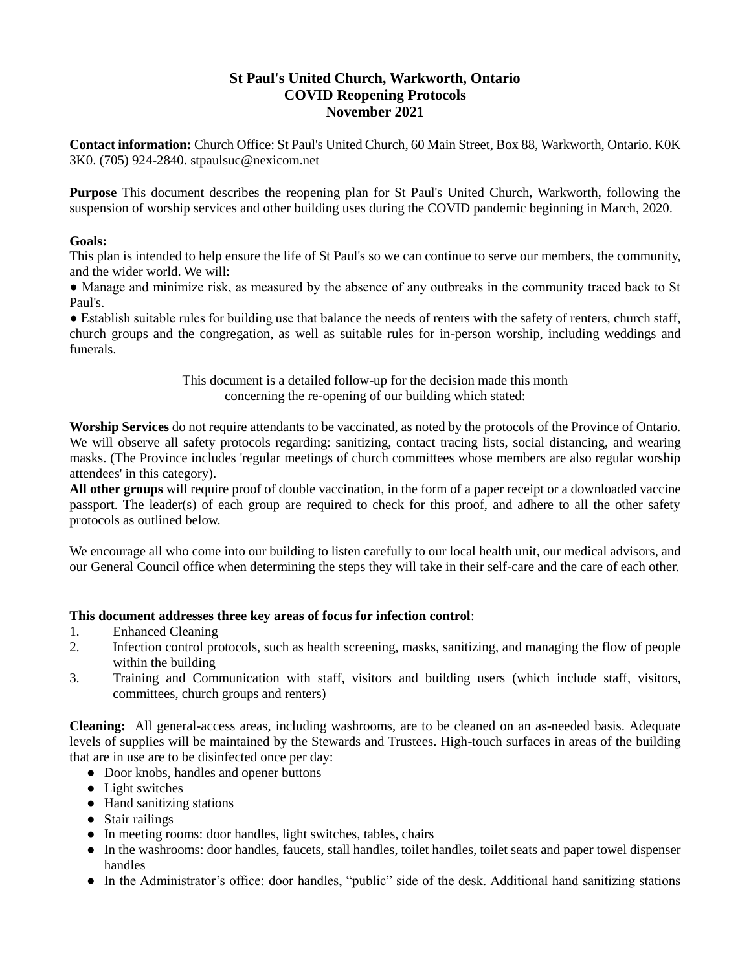## **St Paul's United Church, Warkworth, Ontario COVID Reopening Protocols November 2021**

**Contact information:** Church Office: St Paul's United Church, 60 Main Street, Box 88, Warkworth, Ontario. K0K 3K0. (705) 924-2840. stpaulsuc@nexicom.net

**Purpose** This document describes the reopening plan for St Paul's United Church, Warkworth, following the suspension of worship services and other building uses during the COVID pandemic beginning in March, 2020.

### **Goals:**

This plan is intended to help ensure the life of St Paul's so we can continue to serve our members, the community, and the wider world. We will:

• Manage and minimize risk, as measured by the absence of any outbreaks in the community traced back to St Paul's.

● Establish suitable rules for building use that balance the needs of renters with the safety of renters, church staff, church groups and the congregation, as well as suitable rules for in-person worship, including weddings and funerals.

> This document is a detailed follow-up for the decision made this month concerning the re-opening of our building which stated:

**Worship Services** do not require attendants to be vaccinated, as noted by the protocols of the Province of Ontario. We will observe all safety protocols regarding: sanitizing, contact tracing lists, social distancing, and wearing masks. (The Province includes 'regular meetings of church committees whose members are also regular worship attendees' in this category).

**All other groups** will require proof of double vaccination, in the form of a paper receipt or a downloaded vaccine passport. The leader(s) of each group are required to check for this proof, and adhere to all the other safety protocols as outlined below.

We encourage all who come into our building to listen carefully to our local health unit, our medical advisors, and our General Council office when determining the steps they will take in their self-care and the care of each other.

### **This document addresses three key areas of focus for infection control**:

- 1. Enhanced Cleaning
- 2. Infection control protocols, such as health screening, masks, sanitizing, and managing the flow of people within the building
- 3. Training and Communication with staff, visitors and building users (which include staff, visitors, committees, church groups and renters)

**Cleaning:** All general-access areas, including washrooms, are to be cleaned on an as-needed basis. Adequate levels of supplies will be maintained by the Stewards and Trustees. High-touch surfaces in areas of the building that are in use are to be disinfected once per day:

- Door knobs, handles and opener buttons
- Light switches
- Hand sanitizing stations
- Stair railings
- In meeting rooms: door handles, light switches, tables, chairs
- In the washrooms: door handles, faucets, stall handles, toilet handles, toilet seats and paper towel dispenser handles
- In the Administrator's office: door handles, "public" side of the desk. Additional hand sanitizing stations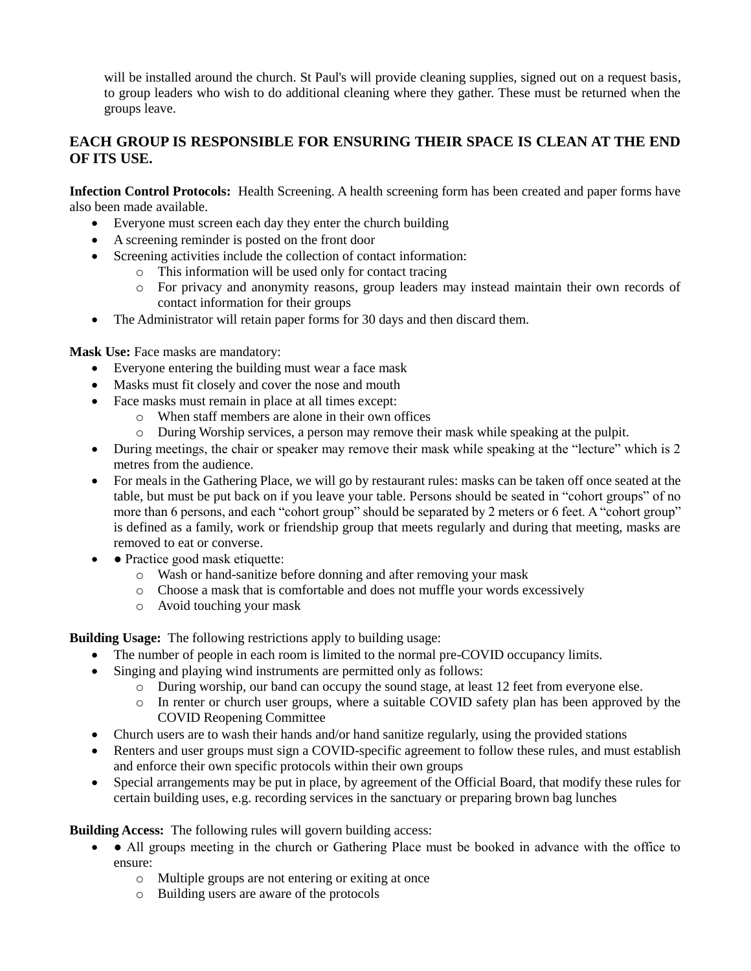will be installed around the church. St Paul's will provide cleaning supplies, signed out on a request basis, to group leaders who wish to do additional cleaning where they gather. These must be returned when the groups leave.

# **EACH GROUP IS RESPONSIBLE FOR ENSURING THEIR SPACE IS CLEAN AT THE END OF ITS USE.**

**Infection Control Protocols:** Health Screening. A health screening form has been created and paper forms have also been made available.

- Everyone must screen each day they enter the church building
- A screening reminder is posted on the front door
- Screening activities include the collection of contact information:
	- o This information will be used only for contact tracing
	- o For privacy and anonymity reasons, group leaders may instead maintain their own records of contact information for their groups
- The Administrator will retain paper forms for 30 days and then discard them.

**Mask Use:** Face masks are mandatory:

- Everyone entering the building must wear a face mask
- Masks must fit closely and cover the nose and mouth
- Face masks must remain in place at all times except:
	- o When staff members are alone in their own offices
	- o During Worship services, a person may remove their mask while speaking at the pulpit.
- During meetings, the chair or speaker may remove their mask while speaking at the "lecture" which is 2 metres from the audience.
- For meals in the Gathering Place, we will go by restaurant rules: masks can be taken off once seated at the table, but must be put back on if you leave your table. Persons should be seated in "cohort groups" of no more than 6 persons, and each "cohort group" should be separated by 2 meters or 6 feet. A "cohort group" is defined as a family, work or friendship group that meets regularly and during that meeting, masks are removed to eat or converse.
- • Practice good mask etiquette:
	- o Wash or hand-sanitize before donning and after removing your mask
	- o Choose a mask that is comfortable and does not muffle your words excessively
	- o Avoid touching your mask

**Building Usage:** The following restrictions apply to building usage:

- The number of people in each room is limited to the normal pre-COVID occupancy limits.
- Singing and playing wind instruments are permitted only as follows:
	- o During worship, our band can occupy the sound stage, at least 12 feet from everyone else.
	- o In renter or church user groups, where a suitable COVID safety plan has been approved by the COVID Reopening Committee
- Church users are to wash their hands and/or hand sanitize regularly, using the provided stations
- Renters and user groups must sign a COVID-specific agreement to follow these rules, and must establish and enforce their own specific protocols within their own groups
- Special arrangements may be put in place, by agreement of the Official Board, that modify these rules for certain building uses, e.g. recording services in the sanctuary or preparing brown bag lunches

### **Building Access:** The following rules will govern building access:

- • All groups meeting in the church or Gathering Place must be booked in advance with the office to ensure:
	- o Multiple groups are not entering or exiting at once
	- o Building users are aware of the protocols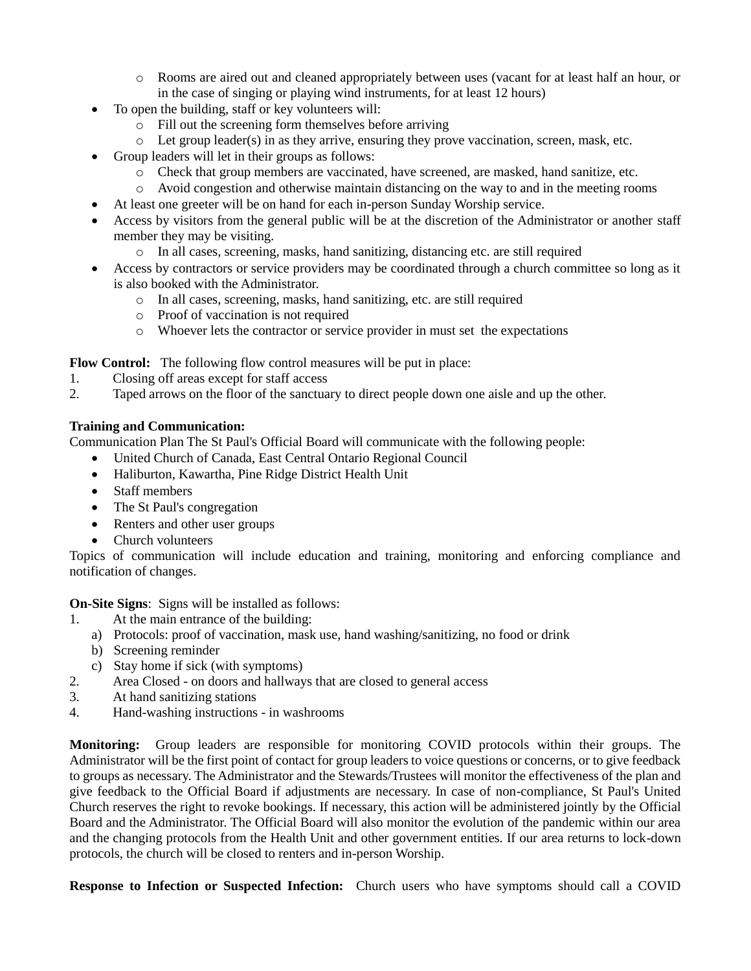- o Rooms are aired out and cleaned appropriately between uses (vacant for at least half an hour, or in the case of singing or playing wind instruments, for at least 12 hours)
- To open the building, staff or key volunteers will:
	- o Fill out the screening form themselves before arriving
	- o Let group leader(s) in as they arrive, ensuring they prove vaccination, screen, mask, etc.
- Group leaders will let in their groups as follows:
	- o Check that group members are vaccinated, have screened, are masked, hand sanitize, etc.
	- o Avoid congestion and otherwise maintain distancing on the way to and in the meeting rooms
- At least one greeter will be on hand for each in-person Sunday Worship service.
- Access by visitors from the general public will be at the discretion of the Administrator or another staff member they may be visiting.
	- o In all cases, screening, masks, hand sanitizing, distancing etc. are still required
- Access by contractors or service providers may be coordinated through a church committee so long as it is also booked with the Administrator.
	- o In all cases, screening, masks, hand sanitizing, etc. are still required
	- o Proof of vaccination is not required
	- o Whoever lets the contractor or service provider in must set the expectations

**Flow Control:** The following flow control measures will be put in place:

- 1. Closing off areas except for staff access
- 2. Taped arrows on the floor of the sanctuary to direct people down one aisle and up the other.

### **Training and Communication:**

Communication Plan The St Paul's Official Board will communicate with the following people:

- United Church of Canada, East Central Ontario Regional Council
- Haliburton, Kawartha, Pine Ridge District Health Unit
- Staff members
- The St Paul's congregation
- Renters and other user groups
- Church volunteers

Topics of communication will include education and training, monitoring and enforcing compliance and notification of changes.

**On-Site Signs**: Signs will be installed as follows:

- 1. At the main entrance of the building:
	- a) Protocols: proof of vaccination, mask use, hand washing/sanitizing, no food or drink
	- b) Screening reminder
	- c) Stay home if sick (with symptoms)
- 2. Area Closed on doors and hallways that are closed to general access
- 3. At hand sanitizing stations
- 4. Hand-washing instructions in washrooms

**Monitoring:** Group leaders are responsible for monitoring COVID protocols within their groups. The Administrator will be the first point of contact for group leaders to voice questions or concerns, or to give feedback to groups as necessary. The Administrator and the Stewards/Trustees will monitor the effectiveness of the plan and give feedback to the Official Board if adjustments are necessary. In case of non-compliance, St Paul's United Church reserves the right to revoke bookings. If necessary, this action will be administered jointly by the Official Board and the Administrator. The Official Board will also monitor the evolution of the pandemic within our area and the changing protocols from the Health Unit and other government entities. If our area returns to lock-down protocols, the church will be closed to renters and in-person Worship.

**Response to Infection or Suspected Infection:** Church users who have symptoms should call a COVID